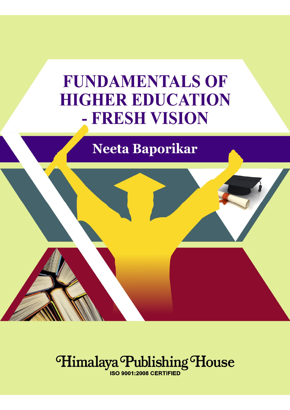# **FUNDAMENTALS OF HIGHER EDUCATION** - FRESH VISION

**Neeta Baporikar** 



**ISO 9001:2008 CERTIFIED**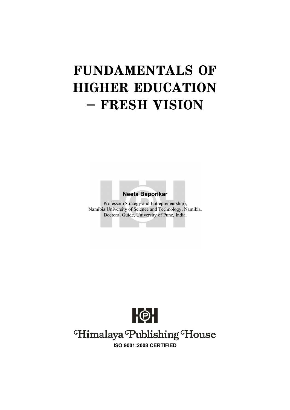# **FUNDAMENTALS OF HIGHER EDUCATION – FRESH VISION**

**Neeta Baporikar**

Professor (Strategy and Entrepreneurship), Namibia University of Science and Technology, Namibia. Doctoral Guide, University of Pune, India.



# Himalaya Publishing House

**ISO 9001:2008 CERTIFIED**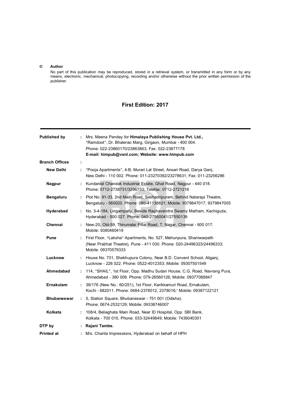#### **© Author**

No part of this publication may be reproduced, stored in a retrieval system, or transmitted in any form or by any means, electronic, mechanical, photocopying, recording and/or otherwise without the prior written permission of the publisher.

### **First Edition: 2017**

| <b>Published by</b>   |    | Mrs. Meena Pandey for Himalaya Publishing House Pvt. Ltd.,<br>"Ramdoot", Dr. Bhalerao Marg, Girgaon, Mumbai - 400 004.<br>Phone: 022-23860170/23863863, Fax: 022-23877178<br>E-mail: himpub@vsnl.com; Website: www.himpub.com |
|-----------------------|----|-------------------------------------------------------------------------------------------------------------------------------------------------------------------------------------------------------------------------------|
| <b>Branch Offices</b> | ÷  |                                                                                                                                                                                                                               |
| New Delhi             | ÷. | "Pooja Apartments", 4-B, Murari Lal Street, Ansari Road, Darya Ganj,<br>New Delhi - 110 002. Phone: 011-23270392/23278631; Fax: 011-23256286                                                                                  |
| <b>Nagpur</b>         |    | : Kundanlal Chandak Industrial Estate, Ghat Road, Nagpur - 440 018.<br>Phone: 0712-2738731/3296733; Telefax: 0712-2721216                                                                                                     |
| <b>Bengaluru</b>      | t. | Plot No. 91-33, 2nd Main Road, Seshadripuram, Behind Nataraja Theatre,<br>Bengaluru - 560020. Phone: 080-41138821; Mobile: 9379847017, 9379847005                                                                             |
| Hyderabad             | ÷. | No. 3-4-184, Lingampally, Beside Raghavendra Swamy Matham, Kachiguda,<br>Hyderabad - 500 027. Phone: 040-27560041/27550139                                                                                                    |
| Chennai               |    | New-20, Old-59, Thirumalai Pillai Road, T. Nagar, Chennai - 600 017.<br>Mobile: 9380460419                                                                                                                                    |
| Pune                  | t. | First Floor, "Laksha" Apartments, No. 527, Mehunpura, Shaniwarpeth<br>(Near Prabhat Theatre), Pune - 411 030. Phone: 020-24496323/24496333;<br>Mobile: 09370579333                                                            |
| Lucknow               |    | : House No. 731, Shekhupura Colony, Near B.D. Convent School, Aliganj,<br>Lucknow - 226 022. Phone: 0522-4012353; Mobile: 09307501549                                                                                         |
| Ahmedabad             |    | : 114, "SHAIL", 1st Floor, Opp. Madhu Sudan House, C.G. Road, Navrang Pura,<br>Ahmedabad - 380 009. Phone: 079-26560126; Mobile: 09377088847                                                                                  |
| <b>Ernakulam</b>      | t. | 39/176 (New No.: 60/251), 1st Floor, Karikkamuri Road, Ernakulam,<br>Kochi - 682011. Phone: 0484-2378012, 2378016;' Mobile: 09387122121                                                                                       |
| <b>Bhubaneswar</b>    | t. | 5, Station Square, Bhubaneswar - 751 001 (Odisha).<br>Phone: 0674-2532129; Mobile: 09338746007                                                                                                                                |
| Kolkata               |    | : 108/4, Beliaghata Main Road, Near ID Hospital, Opp. SBI Bank,<br>Kolkata - 700 010, Phone: 033-32449649; Mobile: 7439040301                                                                                                 |
| DTP by                |    | : Rajani Tambe.                                                                                                                                                                                                               |
| Printed at            |    | M/s. Charita Impressions, Hyderabad on behalf of HPH                                                                                                                                                                          |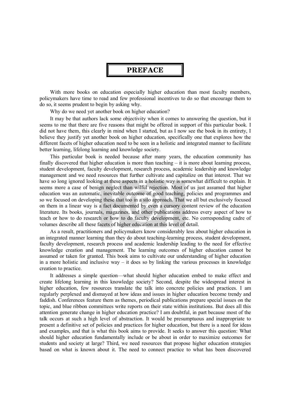#### **PREFACE**

With more books on education especially higher education than most faculty members, policymakers have time to read and few professional incentives to do so that encourage them to do so, it seems prudent to begin by asking why.

Why do we need yet another book on higher education?

It may be that authors lack some objectivity when it comes to answering the question, but it seems to me that there are five reasons that might be offered in support of this particular book. I did not have them, this clearly in mind when I started, but as I now see the book in its entirety, I believe they justify yet another book on higher education, specifically one that explores how the different facets of higher education need to be seen in a holistic and integrated manner to facilitate better learning, lifelong learning and knowledge society.

This particular book is needed because after many years, the education community has finally discovered that higher education is more than teaching  $-$  it is more about learning process, student development, faculty development, research process, academic leadership and knowledge management and we need resources that further cultivate and capitalize on that interest. That we have so long ignored looking at these aspects in a holistic way is somewhat difficult to explain. It seems more a case of benign neglect than wilful rejection. Most of us just assumed that higher education was an automatic, inevitable outcome of good teaching, policies and programmes and so we focused on developing these that too in a silo approach. That we all but exclusively focused on them in a linear way is a fact documented by even a cursory content review of the education literature. Its books, journals, magazines, and other publications address every aspect of how to teach or how to do research or how to do faculty development, etc. No corresponding cadre of volumes describe all these facets of higher education at this level of detail.

As a result, practitioners and policymakers know considerably less about higher education in an integrated manner learning than they do about teaching-learning process, student development, faculty development, research process and academic leadership leading to the need for effective knowledge creation and management. The learning outcomes of higher education cannot be assumed or taken for granted. This book aims to cultivate our understanding of higher education in a more holistic and inclusive way  $-$  it does so by linking the various processes in knowledge creation to practice.

It addresses a simple question—what should higher education embed to make effect and create lifelong learning in this knowledge society? Second, despite the widespread interest in higher education, few resources translate the talk into concrete policies and practices. I am regularly perplexed and dismayed at how ideas and issues in higher education become trendy and faddish. Conferences feature them as themes, periodical publications prepare special issues on the topic, and blue ribbon committees write reports on their state within institutions. But does all this attention generate change in higher education practice? I am doubtful, in part because most of the talk occurs at such a high level of abstraction. It would be presumptuous and inappropriate to present a definitive set of policies and practices for higher education, but there is a need for ideas and examples, and that is what this book aims to provide. It seeks to answer this question: What should higher education fundamentally include or be about in order to maximize outcomes for students and society at large? Third, we need resources that propose higher education strategies based on what is known about it. The need to connect practice to what has been discovered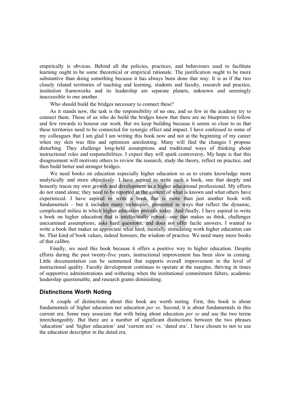empirically is obvious. Behind all the policies, practices, and behaviours used to facilitate learning ought to be some theoretical or empirical rationale. The justification ought to be more substantive than doing something because it has always been done that way. It is as if the two closely related territories of teaching and learning, students and faculty, research and practice, institution frameworks and its leadership are separate planets, unknown and seemingly inaccessible to one another.

Who should build the bridges necessary to connect these?

As it stands now, the task is the responsibility of no one, and so few in the academy try to connect them. Those of us who do build the bridges know that there are no blueprints to follow and few rewards to honour our work. But we keep building because it seems so clear to us that these territories need to be connected for synergic effect and impact. I have confessed to some of my colleagues that I am glad I am writing this book now and not at the beginning of my career when my skin was thin and optimism unrelenting. Many will find the changes I propose disturbing. They challenge long-held assumptions and traditional ways of thinking about instructional roles and responsibilities. I expect they will spark controversy. My hope is that this disagreement will motivate others to review the research, study the theory, reflect on practice, and then build better and stronger bridges.

We need books on education especially higher education so as to create knowledge more analytically and more objectively. I have aspired to write such a book, one that deeply and honestly traces my own growth and development as a higher educational professional. My efforts do not stand alone; they need to be reported in the context of what is known and what others have experienced. I have aspired to write a book that is more than just another book with fundamentals – but it includes many techniques, presented in ways that reflect the dynamic, complicated milieu in which higher education prevails today. And finally, I have aspired to write a book on higher education that is intellectually robust—one that makes us think, challenges unexamined assumptions, asks hard questions, and does not offer facile answers. I wanted to write a book that makes us appreciate what hard, mentally stimulating work higher education can be. That kind of book values, indeed honours, the wisdom of practice. We need many more books of that calibre.

Finally, we need this book because it offers a positive way to higher education. Despite efforts during the past twenty-five years, instructional improvement has been slow in coming. Little documentation can be summoned that supports overall improvement in the level of instructional quality. Faculty development continues to operate at the margins, thriving in times of supportive administrations and withering when the institutional commitment falters, academic leadership questionable, and research grants diminishing.

#### **Distinctions Worth Noting**

A couple of distinctions about this book are worth noting. First, this book is about fundamentals of higher education not education *per se*. Second, it is about fundamentals in this current era. Some may associate that with being about education *per se* and use the two terms interchangeably. But there are a number of significant distinctions between the two phrases 'education' and 'higher education' and 'current era' vs. 'dated era'. I have chosen to not to use the education descriptor in the dated era.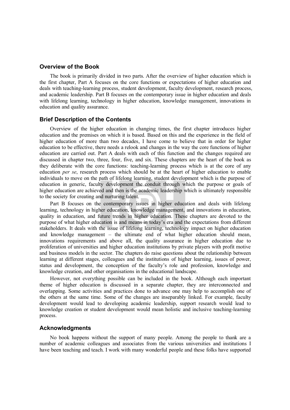#### **Overview of the Book**

The book is primarily divided in two parts. After the overview of higher education which is the first chapter, Part A focuses on the core functions or expectations of higher education and deals with teaching-learning process, student development, faculty development, research process, and academic leadership. Part B focuses on the contemporary issue in higher education and deals with lifelong learning, technology in higher education, knowledge management, innovations in education and quality assurance.

#### **Brief Description of the Contents**

Overview of the higher education in changing times, the first chapter introduces higher education and the premises on which it is based. Based on this and the experience in the field of higher education of more than two decades, I have come to believe that in order for higher education to be effective, there needs a relook and changes in the way the core functions of higher education are carried out. Part A deals with each of this function and the changes required are discussed in chapter two, three, four, five, and six. These chapters are the heart of the book as they deliberate with the core functions: teaching-learning process which is at the core of any education *per se*, research process which should be at the heart of higher education to enable individuals to move on the path of lifelong learning, student development which is the purpose of education in generic, faculty development the conduit through which the purpose or goals of higher education are achieved and then is the academic leadership which is ultimately responsible to the society for creating and nurturing talent.

Part B focuses on the contemporary issues in higher education and deals with lifelong learning, technology in higher education, knowledge management, and innovations in education, quality in education, and future trends in higher education. These chapters are devoted to the purpose of what higher education is and means in today's era and the expectations from different stakeholders. It deals with the issue of lifelong learning, technology impact on higher education and knowledge management – the ultimate end of what higher education should mean, innovations requirements and above all, the quality assurance in higher education due to proliferation of universities and higher education institutions by private players with profit motive and business models in the sector. The chapters do raise questions about the relationship between learning at different stages, colleagues and the institutions of higher learning, issues of power, status and development, the conception of the faculty's role and profession, knowledge and knowledge creation, and other organisations in the educational landscape.

However, not everything possible can be included in the book. Although each important theme of higher education is discussed in a separate chapter, they are interconnected and overlapping. Some activities and practices done to advance one may help to accomplish one of the others at the same time. Some of the changes are inseparably linked. For example, faculty development would lead to developing academic leadership, support research would lead to knowledge creation or student development would mean holistic and inclusive teaching-learning process.

#### **Acknowledgments**

No book happens without the support of many people. Among the people to thank are a number of academic colleagues and associates from the various universities and institutions I have been teaching and teach. I work with many wonderful people and these folks have supported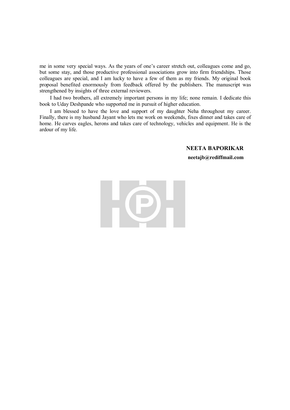me in some very special ways. As the years of one's career stretch out, colleagues come and go, but some stay, and those productive professional associations grow into firm friendships. Those colleagues are special, and I am lucky to have a few of them as my friends. My original book proposal benefited enormously from feedback offered by the publishers. The manuscript was strengthened by insights of three external reviewers.

I had two brothers, all extremely important persons in my life; none remain. I dedicate this book to Uday Deshpande who supported me in pursuit of higher education.

I am blessed to have the love and support of my daughter Neha throughout my career. Finally, there is my husband Jayant who lets me work on weekends, fixes dinner and takes care of home. He carves eagles, herons and takes care of technology, vehicles and equipment. He is the ardour of my life.

#### **NEETA BAPORIKAR**

**neetajb@rediffmail.com**

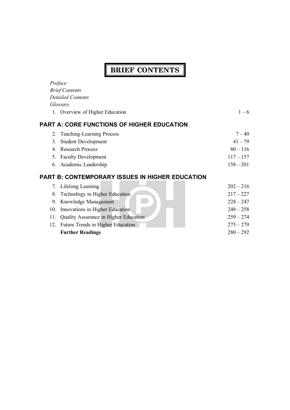#### **BRIEF CONTENTS**  $\overline{\phantom{a}}$

| Preface                                    |                                                 |             |  |  |  |  |  |
|--------------------------------------------|-------------------------------------------------|-------------|--|--|--|--|--|
|                                            | <b>Brief Contents</b>                           |             |  |  |  |  |  |
|                                            | <b>Detailed Contents</b>                        |             |  |  |  |  |  |
|                                            | Glossary                                        |             |  |  |  |  |  |
|                                            | 1. Overview of Higher Education                 | $1 - 6$     |  |  |  |  |  |
| PART A: CORE FUNCTIONS OF HIGHER EDUCATION |                                                 |             |  |  |  |  |  |
| 2.                                         | <b>Teaching-Learning Process</b>                | $7 - 40$    |  |  |  |  |  |
| 3.                                         | <b>Student Development</b>                      | $41 - 79$   |  |  |  |  |  |
|                                            | 4. Research Process                             | $80 - 116$  |  |  |  |  |  |
|                                            | 5. Faculty Development                          | $117 - 157$ |  |  |  |  |  |
|                                            | 6. Academic Leadership                          | $158 - 201$ |  |  |  |  |  |
|                                            | PART B: CONTEMPORARY ISSUES IN HIGHER EDUCATION |             |  |  |  |  |  |
|                                            | 7. Lifelong Learning                            | $202 - 216$ |  |  |  |  |  |
| 8.                                         | Technology in Higher Education                  | $217 - 227$ |  |  |  |  |  |
| 9.                                         | Knowledge Management                            | $228 - 247$ |  |  |  |  |  |
| 10.                                        | Innovations in Higher Education                 | $248 - 258$ |  |  |  |  |  |
| 11.                                        | Quality Assurance in Higher Education           | $259 - 274$ |  |  |  |  |  |
|                                            | 12. Future Trends in Higher Education           | $275 - 279$ |  |  |  |  |  |
|                                            | <b>Further Readings</b>                         | $280 - 292$ |  |  |  |  |  |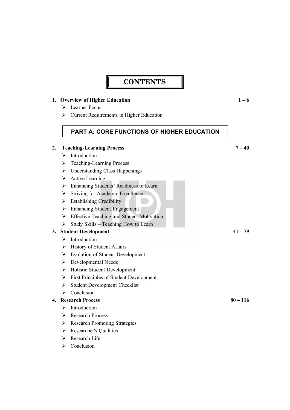# **CONTENTS**

#### **1. Overview of Higher Education 1 – 6**

- $\triangleright$  Learner Focus
- $\triangleright$  Current Requirements in Higher Education

## **PART A: CORE FUNCTIONS OF HIGHER EDUCATION**

#### **2. Teaching-Learning Process 7 – 40**

- > Introduction
- Teaching-Learning Process
- Understanding Class Happenings
- $\triangleright$  Active Learning
- Enhancing Students' Readiness to Learn
- $\triangleright$  Striving for Academic Excellence
- $\triangleright$  Establishing Credibility
- Enhancing Student Engagement
- **Effective Teaching and Student Motivation**
- $\triangleright$  Study Skills Teaching How to Learn

#### **3. Student Development 41 – 79**

- $\triangleright$  Introduction
- $\triangleright$  History of Student Affairs
- $\triangleright$  Evolution of Student Development
- Developmental Needs
- Holistic Student Development
- First Principles of Student Development
- $\triangleright$  Student Development Checklist
- $\triangleright$  Conclusion

#### **4. Research Process 80 – 116**

- $\triangleright$  Introduction
- **►** Research Process
- ▶ Research Promoting Strategies
- Researcher's Qualities
- Research Life
- $\triangleright$  Conclusion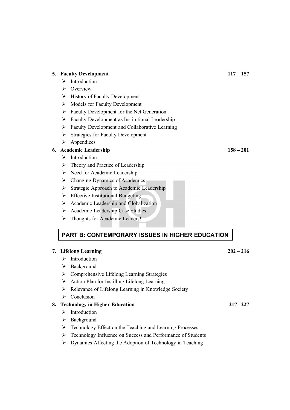|    |        | <b>NUULIS IUI FACUITY DUVUIDIIILIII</b>                                                                                 |             |
|----|--------|-------------------------------------------------------------------------------------------------------------------------|-------------|
|    | ➤      | Faculty Development for the Net Generation                                                                              |             |
|    | ➤      | Faculty Development as Institutional Leadership                                                                         |             |
|    | ➤      | Faculty Development and Collaborative Learning                                                                          |             |
|    | ➤      | <b>Strategies for Faculty Development</b>                                                                               |             |
|    | ➤      | Appendices                                                                                                              |             |
|    |        | 6. Academic Leadership                                                                                                  | $158 - 201$ |
|    | ⋗      | Introduction                                                                                                            |             |
|    | ⋗      | Theory and Practice of Leadership                                                                                       |             |
|    | ➤      | Need for Academic Leadership                                                                                            |             |
|    | ➤      | Changing Dynamics of Academics                                                                                          |             |
|    | ➤      | Strategic Approach to Academic Leadership                                                                               |             |
|    | ➤      | <b>Effective Institutional Budgeting</b>                                                                                |             |
|    | ➤      | Academic Leadership and Globalization                                                                                   |             |
|    | ➤      | Academic Leadership Case Studies                                                                                        |             |
|    | ➤      | Thoughts for Academic Leaders!                                                                                          |             |
|    |        |                                                                                                                         |             |
|    |        | <b>PART B: CONTEMPORARY ISSUES IN HIGHER EDUCATION</b>                                                                  |             |
|    |        |                                                                                                                         |             |
|    |        | 7. Lifelong Learning<br>Introduction                                                                                    | $202 - 216$ |
|    | ⋗      | Background                                                                                                              |             |
|    | ➤      |                                                                                                                         |             |
|    | ➤      | Comprehensive Lifelong Learning Strategies                                                                              |             |
|    | ➤<br>➤ | Action Plan for Instilling Lifelong Learning                                                                            |             |
|    | ⋗      | Relevance of Lifelong Learning in Knowledge Society<br>Conclusion                                                       |             |
|    |        |                                                                                                                         | $217 - 227$ |
| 8. | ⋗      | <b>Technology in Higher Education</b><br>Introduction                                                                   |             |
|    |        |                                                                                                                         |             |
|    | ➤<br>➤ | Background                                                                                                              |             |
|    | ➤      | Technology Effect on the Teaching and Learning Processes<br>Technology Influence on Success and Performance of Students |             |
|    |        | Dynamics $\Lambda$ fracting the $\Lambda$ dention of Technology in Technics                                             |             |
|    |        |                                                                                                                         |             |

- **5. Faculty Development 117 – 157**
	- > Introduction
	- $\triangleright$  Overview
	- $\triangleright$  History of Faculty Development
	- $\triangleright$  Models for Faculty Development

 $\triangleright$  Dynamics Affecting the Adoption of Technology in Teaching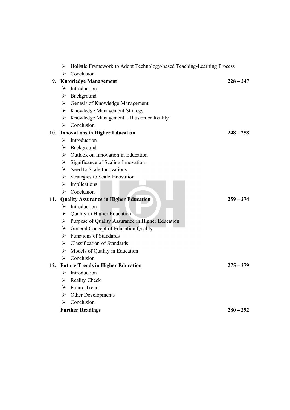|     |                       | Holistic Framework to Adopt Technology-based Teaching-Learning Process |             |  |  |  |
|-----|-----------------------|------------------------------------------------------------------------|-------------|--|--|--|
|     | ⋗                     | Conclusion                                                             |             |  |  |  |
| 9.  |                       | <b>Knowledge Management</b><br>$228 - 247$                             |             |  |  |  |
|     | ➤                     | Introduction                                                           |             |  |  |  |
|     | ➤                     | Background                                                             |             |  |  |  |
|     |                       | > Genesis of Knowledge Management                                      |             |  |  |  |
|     | ➤                     | Knowledge Management Strategy                                          |             |  |  |  |
|     | ➤                     | Knowledge Management - Illusion or Reality                             |             |  |  |  |
|     | ➤                     | Conclusion                                                             |             |  |  |  |
| 10. |                       | <b>Innovations in Higher Education</b>                                 | $248 - 258$ |  |  |  |
|     |                       | $\triangleright$ Introduction                                          |             |  |  |  |
|     | ➤                     | Background                                                             |             |  |  |  |
|     | ➤                     | Outlook on Innovation in Education                                     |             |  |  |  |
|     | $\blacktriangleright$ | Significance of Scaling Innovation                                     |             |  |  |  |
|     |                       | $\triangleright$ Need to Scale Innovations                             |             |  |  |  |
|     | ≻                     | Strategies to Scale Innovation                                         |             |  |  |  |
|     | ➤                     | Implications                                                           |             |  |  |  |
|     | ➤                     | Conclusion                                                             |             |  |  |  |
| 11. |                       | <b>Quality Assurance in Higher Education</b>                           | $259 - 274$ |  |  |  |
|     |                       | $\triangleright$ Introduction                                          |             |  |  |  |
|     | ➤                     | <b>Quality in Higher Education</b>                                     |             |  |  |  |
|     | ➤                     | Purpose of Quality Assurance in Higher Education                       |             |  |  |  |
|     | ≻                     | General Concept of Education Quality                                   |             |  |  |  |
|     | ≻                     | Functions of Standards                                                 |             |  |  |  |
|     |                       | $\triangleright$ Classification of Standards                           |             |  |  |  |
|     |                       | $\triangleright$ Models of Quality in Education                        |             |  |  |  |
|     | ➤                     | Conclusion                                                             |             |  |  |  |
| 12. |                       | <b>Future Trends in Higher Education</b>                               | $275 - 279$ |  |  |  |
|     | ➤                     | Introduction                                                           |             |  |  |  |
|     |                       | $\triangleright$ Reality Check                                         |             |  |  |  |
|     |                       | $\triangleright$ Future Trends                                         |             |  |  |  |
|     | ➤                     | Other Developments                                                     |             |  |  |  |
|     | ⋗                     | Conclusion                                                             |             |  |  |  |
|     |                       | <b>Further Readings</b>                                                | $280 - 292$ |  |  |  |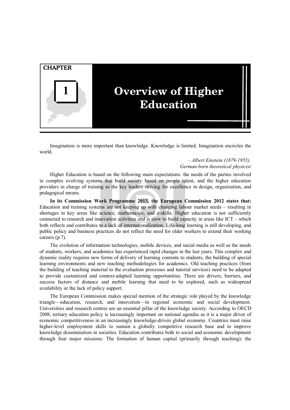

Imagination is more important than knowledge. Knowledge is limited. Imagination encircles the world.

#### – *Albert Einstein (1879-1955), German-born theoretical physicist*

Higher Education is based on the following main expectations: the needs of the parties involved in complex evolving systems that build society based on people talent, and the higher education providers in charge of training as the key leaders striving for excellence in design, organization, and pedagogical means.

**In its Commission Work Programme 2013, the European Commission 2012 states that:** Education and training systems are not keeping up with changing labour market needs – resulting in shortages in key areas like science, mathematics, and e-skills. Higher education is not sufficiently connected to research and innovation activities and is slow to build capacity in areas like ICT – which both reflects and contributes to a lack of internationalization. Life-long learning is still developing, and public policy and business practices do not reflect the need for older workers to extend their working careers (p.7).

The evolution of information technologies, mobile devices, and social media as well as the needs of students, workers, and academics has experienced rapid changes in the last years. This complex and dynamic reality requires new forms of delivery of learning contents to students, the building of special learning environments and new teaching methodologies for academics. Old teaching practices (from the building of teaching material to the evaluation processes and tutorial services) need to be adapted to provide customized and context-adapted learning opportunities. There are drivers, barriers, and success factors of distance and mobile learning that need to be explored, such as widespread availability or the lack of policy support.

The European Commission makes special mention of the strategic role played by the knowledge triangle—education, research, and innovation—in regional economic and social development. Universities and research centres are an essential pillar of the knowledge society. According to OECD 2008, tertiary education policy is increasingly important on national agendas as it is a major driver of economic competitiveness in an increasingly knowledge-driven global economy. Countries must raise higher-level employment skills to sustain a globally competitive research base and to improve knowledge dissemination in societies. Education contributes both to social and economic development through four major missions: The formation of human capital (primarily through teaching); the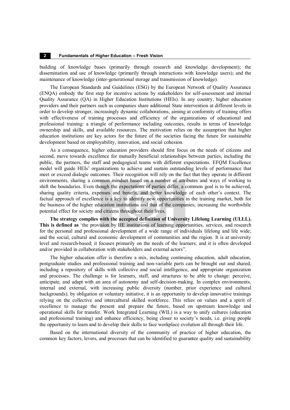#### **2 Fundamentals of Higher Education – Fresh Vision**

building of knowledge bases (primarily through research and knowledge development); the dissemination and use of knowledge (primarily through interactions with knowledge users); and the maintenance of knowledge (inter-generational storage and transmission of knowledge).

The European Standards and Guidelines (ESG) by the European Network of Quality Assurance (ENQA) embody the first step for incentive actions by stakeholders for self-assessment and internal Quality Assurance (QA) in Higher Education Institutions (HEIs). In any country, higher education providers and their partners such as companies share additional State intervention at different levels in order to develop stronger, increasingly dynamic collaborations, aiming at conformity of training offers with effectiveness of training processes and efficiency of the organizations of educational and professional training: a triangle of performance including outcomes, results in terms of knowledge ownership and skills, and available resources. The motivation relies on the assumption that higher education institutions are key actors for the future of the societies facing the future for sustainable development based on employability, innovation, and social cohesion.

As a consequence, higher education providers should first focus on the needs of citizens and second, move towards excellence for mutually beneficial relationships between parties, including the public, the partners, the staff and pedagogical teams with different expectations. EFQM Excellence model will guide HEIs' organizations to achieve and sustain outstanding levels of performance that meet or exceed dialogic outcomes. Their recognition will rely on the fact that they operate in different environments, sharing a common mindset based on a number of attributes and ways of working to shift the boundaries. Even though the expectations of parties differ, a common goal is to be achieved, sharing quality criteria, expenses and benefit, and better knowledge of each other's context. The factual approach of excellence is a key to identify new opportunities in the training market, both for the business of the higher education institutions and that of the companies; increasing the worthwhile potential effect for society and citizens throughout their lives.

**The strategy complies with the accepted definition of University Lifelong Learning (ULLL). This is defined as** 'the provision by HE institutions of learning opportunities, services, and research for the personal and professional development of a wide range of individuals lifelong and life wide; and the social, cultural and economic development of communities and the region. It is at university level and research-based; it focuses primarily on the needs of the learners; and it is often developed and/or provided in collaboration with stakeholders and external actors".

The higher education offer is therefore a mix, including continuing education, adult education, postgraduate studies and professional training and non-variable parts can be brought out and shared, including a repository of skills with collective and social intelligence, and appropriate organization and processes. The challenge is for learners, staff, and structures to be able to change: perceive, anticipate, and adapt with an area of autonomy and self-decision-making. In complex environments, internal and external, with increasing public diversity (number, prior experience and cultural backgrounds), by obligation or voluntary initiative, it is an opportunity to develop innovative trainings relying on the collective and intercultural skilled workforce. This relies on values and a spirit of excellence to manage the present and prepare the future, based on upstream knowledge and operational skills for transfer. Work Integrated Learning (WIL) is a way to unify cultures (education and professional training) and enhance efficiency, being closer to society's needs, i.e. giving people the opportunity to learn and to develop their skills to face workplace evolution all through their life.

Based on the international diversity of the community of practice of higher education, the common key factors, levers, and processes that can be identified to guarantee quality and sustainability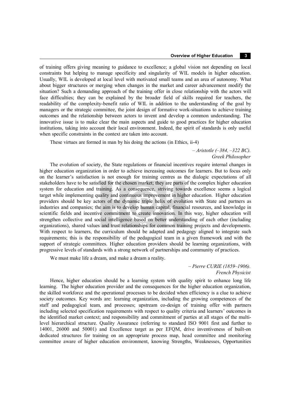of training offers giving meaning to guidance to excellence; a global vision not depending on local constraints but helping to manage specificity and singularity of WIL models in higher education. Usually, WIL is developed at local level with motivated small teams and an area of autonomy. What about bigger structures or merging when changes in the market and career advancement modify the situation? Such a demanding approach of the training offer in close relationship with the actors will face difficulties; they can be explained by the broader field of skills required for teachers, the readability of the complexity-benefit ratio of WIL in addition to the understanding of the goal by managers or the strategic committee, the joint design of formative work-situations to achieve training outcomes and the relationship between actors to invent and develop a common understanding. The innovative issue is to make clear the main aspects and guide to good practices for higher education institutions, taking into account their local environment. Indeed, the spirit of standards is only useful when specific constraints in the context are taken into account.

These virtues are formed in man by his doing the actions (in Ethics, ii-4)

*– Aristotle (–384, –322 BC). Greek Philosopher*

The evolution of society, the State regulations or financial incentives require internal changes in higher education organization in order to achieve increasing outcomes for learners. But to focus only on the learner's satisfaction is not enough for training centres as the dialogic expectations of all stakeholders have to be satisfied for the chosen market; they are parts of the complex higher education system for education and training. As a consequence, striving towards excellence seems a logical target while implementing quality and continuous improvement in higher education. Higher education providers should be key actors of the dynamic triple helix of evolution with State and partners as industries and companies; the aim is to develop human capital, financial resources, and knowledge in scientific fields and incentive commitment to create innovation. In this way, higher education will strengthen collective and social intelligence based on better understanding of each other (including organizations), shared values and trust relationships for common training projects and developments. With respect to learners, the curriculum should be adapted and pedagogy aligned to integrate such requirements; this is the responsibility of the pedagogical team in a given framework and with the support of strategic committees. Higher education providers should be learning organizations, with progressive levels of standards with a strong network of partnerships and community of practices.

We must make life a dream, and make a dream a reality.

#### *– Pierre CURIE (1859–1906). French Physicist*

Hence, higher education should be a learning system with quality spirit to enhance long life learning. The higher education provider and the consequences for the higher education organization, the skilled workforce and the operational processes to be decided when efficiency is a clue to achieve society outcomes. Key words are: learning organization, including the growing competences of the staff and pedagogical team, and processes; upstream co-design of training offer with partners including selected specification requirements with respect to quality criteria and learners' outcomes in the identified market context; and responsibility and commitment of parties at all stages of the multilevel hierarchical structure. Quality Assurance (referring to standard ISO 9001 first and further to 14001, 26000 and 50001) and Excellence target as per EFQM, drive inventiveness of built-on dedicated structures for training on an appropriate process map, head committee and monitoring committee aware of higher education environment, knowing Strengths, Weaknesses, Opportunities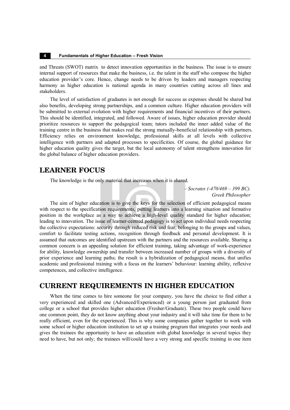and Threats (SWOT) matrix to detect innovation opportunities in the business. The issue is to ensure internal support of resources that make the business, i.e. the talent in the staff who compose the higher education provider's core. Hence, change needs to be driven by leaders and managers respecting harmony as higher education is national agenda in many countries cutting across all lines and stakeholders.

The level of satisfaction of graduates is not enough for success as expenses should be shared but also benefits, developing strong partnerships, and a common culture. Higher education providers will be submitted to external evolution with higher requirements and financial incentives of their partners. This should be identified, integrated, and followed. Aware of issues, higher education provider should prioritize resources to support the pedagogical team; tutors included the inner added value of the training centre in the business that makes real the strong mutually-beneficial relationship with partners. Efficiency relies on environment knowledge, professional skills at all levels with collective intelligence with partners and adapted processes to specificities. Of course, the global guidance for higher education quality gives the target, but the local autonomy of talent strengthens innovation for the global balance of higher education providers.

## **LEARNER FOCUS**

The knowledge is the only material that increases when it is shared.

*– Socrates (-470/469 – 399 BC). Greek Philosopher*

The aim of higher education is to give the keys for the selection of efficient pedagogical means with respect to the specification requirements, putting learners into a learning situation and formative position in the workplace as a way to achieve a high-level quality standard for higher education; leading to innovation. The issue of learner-centred pedagogy is to act upon individual needs respecting the collective expectations: security through reduced risk and fear, belonging to the groups and values, comfort to facilitate testing actions, recognition through feedback and personal development. It is assumed that outcomes are identified upstream with the partners and the resources available. Sharing a common concern is an appealing solution for efficient training, taking advantage of work-experience for ability, knowledge ownership and transfer between increased number of groups with a diversity of prior experience and learning paths; the result is a hybridization of pedagogical means, that unifies academic and professional training with a focus on the learners' behaviour: learning ability, reflexive competences, and collective intelligence.

#### **CURRENT REQUIREMENTS IN HIGHER EDUCATION**

When the time comes to hire someone for your company, you have the choice to find either a very experienced and skilled one (Advanced/Experienced) or a young person just graduated from college or a school that provides higher education (Fresher/Graduate). These two people could have one common point, they do not know anything about your industry and it will take time for them to be really efficient, even for the experienced. This is why some companies gather together to work with some school or higher education institution to set up a training program that integrates your needs and gives the trainees the opportunity to have an education with global knowledge in several topics they need to have, but not only; the trainees will/could have a very strong and specific training in one item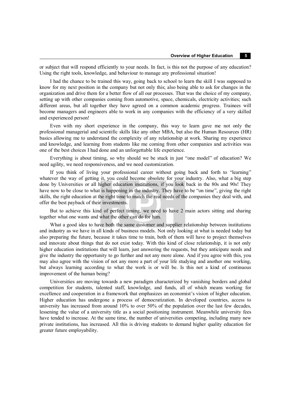or subject that will respond efficiently to your needs. In fact, is this not the purpose of any education? Using the right tools, knowledge, and behaviour to manage any professional situation!

I had the chance to be trained this way, going back to school to learn the skill I was supposed to know for my next position in the company but not only this; also being able to ask for changes in the organization and drive them for a better flow of all our processes. That was the choice of my company, setting up with other companies coming from automotive, space, chemicals, electricity activities; such different areas, but all together they have agreed on a common academic progress. Trainees will become managers and engineers able to work in any companies with the efficiency of a very skilled and experienced person!

Even with my short experience in the company, this way to learn gave me not only the professional managerial and scientific skills like any other MBA, but also the Human Resources (HR) basics allowing me to understand the complexity of any relationship at work. Sharing my experience and knowledge, and learning from students like me coming from other companies and activities was one of the best choices I had done and an unforgettable life experience.

Everything is about timing, so why should we be stuck in just "one model" of education? We need agility, we need responsiveness, and we need customization.

If you think of living your professional career without going back and forth to "learning" whatever the way of getting it, you could become obsolete for your industry. Also, what a big step done by Universities or all higher education institutions, if you look back in the 80s and 90s! They have now to be close to what is happening in the industry. They have to be "on time", giving the right skills, the right education at the right time to match the real needs of the companies they deal with, and offer the best payback of their investments.

But to achieve this kind of perfect timing, we need to have 2 main actors sitting and sharing together what one wants and what the other can do for him.

What a good idea to have both the same customer and supplier relationship between institutions and industry as we have in all kinds of business models. Not only looking at what is needed today but also preparing the future, because it takes time to train, both of them will have to project themselves and innovate about things that do not exist today. With this kind of close relationship, it is not only higher education institutions that will learn, just answering the requests, but they anticipate needs and give the industry the opportunity to go further and not any more alone. And if you agree with this, you may also agree with the vision of not any more a part of your life studying and another one working, but always learning according to what the work is or will be. Is this not a kind of continuous improvement of the human being?

Universities are moving towards a new paradigm characterized by vanishing borders and global competition for students, talented staff, knowledge, and funds, all of which means working for excellence and cooperation in a framework that emphasizes an economist's vision of higher education. Higher education has undergone a process of democratization. In developed countries, access to university has increased from around 10% to over 50% of the population over the last few decades, lessening the value of a university title as a social positioning instrument. Meanwhile university fees have tended to increase. At the same time, the number of universities competing, including many new private institutions, has increased. All this is driving students to demand higher quality education for greater future employability.